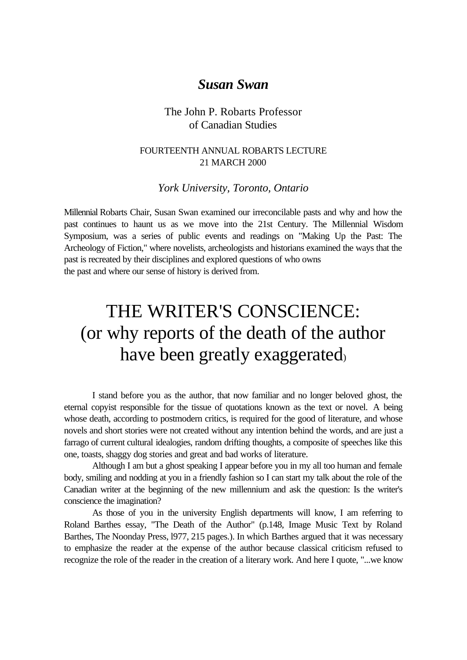## *Susan Swan*

### The John P. Robarts Professor of Canadian Studies

#### FOURTEENTH ANNUAL ROBARTS LECTURE 21 MARCH 2000

#### *York University, Toronto, Ontario*

Millennial Robarts Chair, Susan Swan examined our irreconcilable pasts and why and how the past continues to haunt us as we move into the 21st Century. The Millennial Wisdom Symposium, was a series of public events and readings on "Making Up the Past: The Archeology of Fiction," where novelists, archeologists and historians examined the ways that the past is recreated by their disciplines and explored questions of who owns the past and where our sense of history is derived from.

# THE WRITER'S CONSCIENCE: (or why reports of the death of the author have been greatly exaggerated)

I stand before you as the author, that now familiar and no longer beloved ghost, the eternal copyist responsible for the tissue of quotations known as the text or novel. A being whose death, according to postmodern critics, is required for the good of literature, and whose novels and short stories were not created without any intention behind the words, and are just a farrago of current cultural idealogies, random drifting thoughts, a composite of speeches like this one, toasts, shaggy dog stories and great and bad works of literature.

Although I am but a ghost speaking I appear before you in my all too human and female body, smiling and nodding at you in a friendly fashion so I can start my talk about the role of the Canadian writer at the beginning of the new millennium and ask the question: Is the writer's conscience the imagination?

As those of you in the university English departments will know, I am referring to Roland Barthes essay, "The Death of the Author" (p.148, Image Music Text by Roland Barthes, The Noonday Press, l977, 215 pages.). In which Barthes argued that it was necessary to emphasize the reader at the expense of the author because classical criticism refused to recognize the role of the reader in the creation of a literary work. And here I quote, "...we know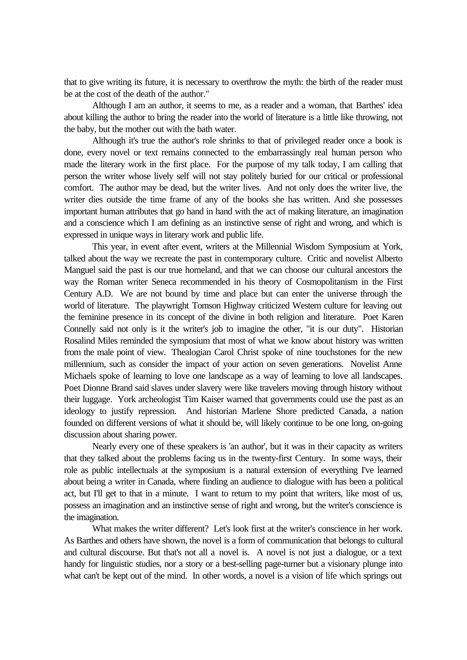that to give writing its future, it is necessary to overthrow the myth: the birth of the reader must be at the cost of the death of the author."

Although I am an author, it seems to me, as a reader and a woman, that Barthes' idea about killing the author to bring the reader into the world of literature is a little like throwing, not the baby, but the mother out with the bath water.

Although it's true the author's role shrinks to that of privileged reader once a book is done, every novel or text remains connected to the embarrassingly real human person who made the literary work in the first place. For the purpose of my talk today, I am calling that person the writer whose lively self will not stay politely buried for our critical or professional comfort. The author may be dead, but the writer lives. And not only does the writer live, the writer dies outside the time frame of any of the books she has written. And she possesses important human attributes that go hand in hand with the act of making literature, an imagination and a conscience which I am defining as an instinctive sense of right and wrong, and which is expressed in unique ways in literary work and public life.

This year, in event after event, writers at the Millennial Wisdom Symposium at York, talked about the way we recreate the past in contemporary culture. Critic and novelist Alberto Manguel said the past is our true homeland, and that we can choose our cultural ancestors the way the Roman writer Seneca recommended in his theory of Cosmopolitanism in the First Century A.D. We are not bound by time and place but can enter the universe through the world of literature. The playwright Tomson Highway criticized Western culture for leaving out the feminine presence in its concept of the divine in both religion and literature. Poet Karen Connelly said not only is it the writer's job to imagine the other, "it is our duty". Historian Rosalind Miles reminded the symposium that most of what we know about history was written from the male point of view. Thealogian Carol Christ spoke of nine touchstones for the new millennium, such as consider the impact of your action on seven generations. Novelist Anne Michaels spoke of learning to love one landscape as a way of learning to love all landscapes. Poet Dionne Brand said slaves under slavery were like travelers moving through history without their luggage. York archeologist Tim Kaiser warned that governments could use the past as an ideology to justify repression. And historian Marlene Shore predicted Canada, a nation founded on different versions of what it should be, will likely continue to be one long, on-going discussion about sharing power.

Nearly every one of these speakers is 'an author', but it was in their capacity as writers that they talked about the problems facing us in the twenty-first Century. In some ways, their role as public intellectuals at the symposium is a natural extension of everything I've learned about being a writer in Canada, where finding an audience to dialogue with has been a political act, but I'll get to that in a minute. I want to return to my point that writers, like most of us, possess an imagination and an instinctive sense of right and wrong, but the writer's conscience is the imagination.

What makes the writer different? Let's look first at the writer's conscience in her work. As Barthes and others have shown, the novel is a form of communication that belongs to cultural and cultural discourse. But that's not all a novel is. A novel is not just a dialogue, or a text handy for linguistic studies, nor a story or a best-selling page-turner but a visionary plunge into what can't be kept out of the mind. In other words, a novel is a vision of life which springs out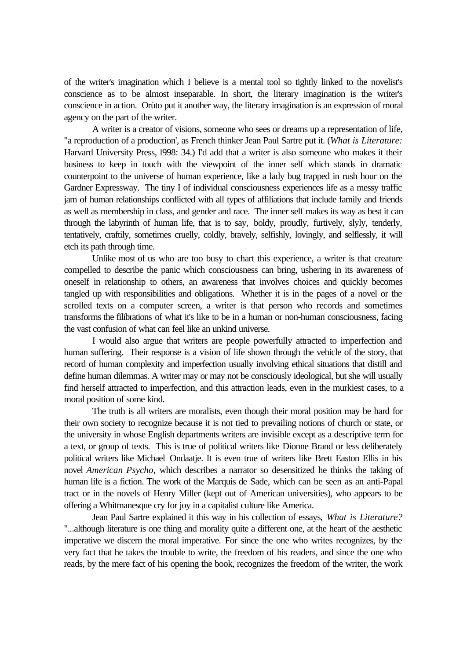of the writer's imagination which I believe is a mental tool so tightly linked to the novelist's conscience as to be almost inseparable. In short, the literary imagination is the writer's conscience in action. Orùto put it another way, the literary imagination is an expression of moral agency on the part of the writer.

A writer is a creator of visions, someone who sees or dreams up a representation of life, "a reproduction of a production', as French thinker Jean Paul Sartre put it. (*What is Literature:* Harvard University Press, l998: 34.) I'd add that a writer is also someone who makes it their business to keep in touch with the viewpoint of the inner self which stands in dramatic counterpoint to the universe of human experience, like a lady bug trapped in rush hour on the Gardner Expressway. The tiny I of individual consciousness experiences life as a messy traffic jam of human relationships conflicted with all types of affiliations that include family and friends as well as membership in class, and gender and race. The inner self makes its way as best it can through the labyrinth of human life, that is to say, boldy, proudly, furtively, slyly, tenderly, tentatively, craftily, sometimes cruelly, coldly, bravely, selfishly, lovingly, and selflessly, it will etch its path through time.

Unlike most of us who are too busy to chart this experience, a writer is that creature compelled to describe the panic which consciousness can bring, ushering in its awareness of oneself in relationship to others, an awareness that involves choices and quickly becomes tangled up with responsibilities and obligations. Whether it is in the pages of a novel or the scrolled texts on a computer screen, a writer is that person who records and sometimes transforms the filibrations of what it's like to be in a human or non-human consciousness, facing the vast confusion of what can feel like an unkind universe.

I would also argue that writers are people powerfully attracted to imperfection and human suffering. Their response is a vision of life shown through the vehicle of the story, that record of human complexity and imperfection usually involving ethical situations that distill and define human dilemmas. A writer may or may not be consciously ideological, but she will usually find herself attracted to imperfection, and this attraction leads, even in the murkiest cases, to a moral position of some kind.

The truth is all writers are moralists, even though their moral position may be hard for their own society to recognize because it is not tied to prevailing notions of church or state, or the university in whose English departments writers are invisible except as a descriptive term for a text, or group of texts. This is true of political writers like Dionne Brand or less deliberately political writers like Michael Ondaatje. It is even true of writers like Brett Easton Ellis in his novel *American Psycho,* which describes a narrator so desensitized he thinks the taking of human life is a fiction. The work of the Marquis de Sade, which can be seen as an anti-Papal tract or in the novels of Henry Miller (kept out of American universities), who appears to be offering a Whitmanesque cry for joy in a capitalist culture like America.

Jean Paul Sartre explained it this way in his collection of essays, *What is Literature?* "...although literature is one thing and morality quite a different one, at the heart of the aesthetic imperative we discern the moral imperative. For since the one who writes recognizes, by the very fact that he takes the trouble to write, the freedom of his readers, and since the one who reads, by the mere fact of his opening the book, recognizes the freedom of the writer, the work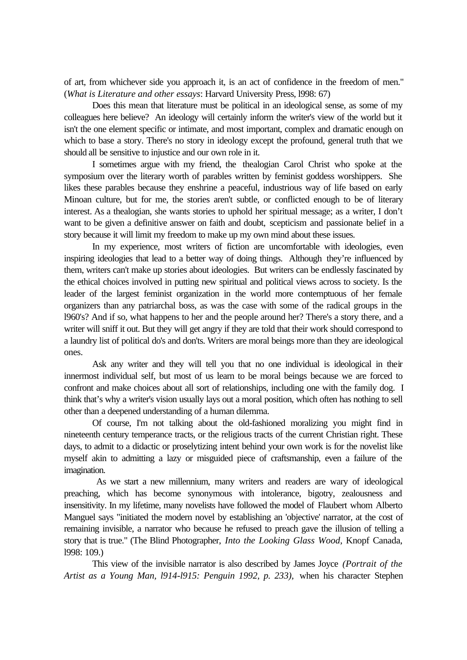of art, from whichever side you approach it, is an act of confidence in the freedom of men." (*What is Literature and other essays*: Harvard University Press, l998: 67)

Does this mean that literature must be political in an ideological sense, as some of my colleagues here believe? An ideology will certainly inform the writer's view of the world but it isn't the one element specific or intimate, and most important, complex and dramatic enough on which to base a story. There's no story in ideology except the profound, general truth that we should all be sensitive to injustice and our own role in it.

I sometimes argue with my friend, the thealogian Carol Christ who spoke at the symposium over the literary worth of parables written by feminist goddess worshippers. She likes these parables because they enshrine a peaceful, industrious way of life based on early Minoan culture, but for me, the stories aren't subtle, or conflicted enough to be of literary interest. As a thealogian, she wants stories to uphold her spiritual message; as a writer, I don't want to be given a definitive answer on faith and doubt, scepticism and passionate belief in a story because it will limit my freedom to make up my own mind about these issues.

In my experience, most writers of fiction are uncomfortable with ideologies, even inspiring ideologies that lead to a better way of doing things. Although they're influenced by them, writers can't make up stories about ideologies. But writers can be endlessly fascinated by the ethical choices involved in putting new spiritual and political views across to society. Is the leader of the largest feminist organization in the world more contemptuous of her female organizers than any patriarchal boss, as was the case with some of the radical groups in the l960's? And if so, what happens to her and the people around her? There's a story there, and a writer will sniff it out. But they will get angry if they are told that their work should correspond to a laundry list of political do's and don'ts. Writers are moral beings more than they are ideological ones.

Ask any writer and they will tell you that no one individual is ideological in their innermost individual self, but most of us learn to be moral beings because we are forced to confront and make choices about all sort of relationships, including one with the family dog. I think that's why a writer's vision usually lays out a moral position, which often has nothing to sell other than a deepened understanding of a human dilemma.

Of course, I'm not talking about the old-fashioned moralizing you might find in nineteenth century temperance tracts, or the religious tracts of the current Christian right. These days, to admit to a didactic or proselytizing intent behind your own work is for the novelist like myself akin to admitting a lazy or misguided piece of craftsmanship, even a failure of the imagination.

 As we start a new millennium, many writers and readers are wary of ideological preaching, which has become synonymous with intolerance, bigotry, zealousness and insensitivity. In my lifetime, many novelists have followed the model of Flaubert whom Alberto Manguel says "initiated the modern novel by establishing an 'objective' narrator, at the cost of remaining invisible, a narrator who because he refused to preach gave the illusion of telling a story that is true." (The Blind Photographer, *Into the Looking Glass Wood*, Knopf Canada, l998: 109.)

This view of the invisible narrator is also described by James Joyce *(Portrait of the Artist as a Young Man, l914-l915: Penguin 1992, p. 233),* when his character Stephen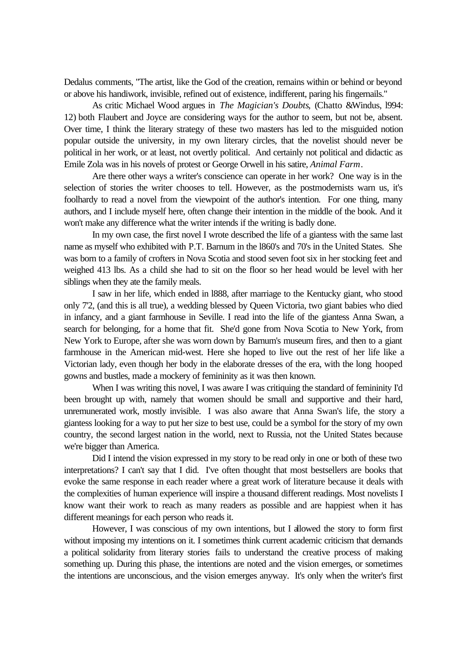Dedalus comments, "The artist, like the God of the creation, remains within or behind or beyond or above his handiwork, invisible, refined out of existence, indifferent, paring his fingernails."

As critic Michael Wood argues in *The Magician's Doubts*, (Chatto &Windus, l994: 12) both Flaubert and Joyce are considering ways for the author to seem, but not be, absent. Over time, I think the literary strategy of these two masters has led to the misguided notion popular outside the university, in my own literary circles, that the novelist should never be political in her work, or at least, not overtly political. And certainly not political and didactic as Emile Zola was in his novels of protest or George Orwell in his satire, *Animal Farm*.

Are there other ways a writer's conscience can operate in her work? One way is in the selection of stories the writer chooses to tell. However, as the postmodernists warn us, it's foolhardy to read a novel from the viewpoint of the author's intention. For one thing, many authors, and I include myself here, often change their intention in the middle of the book. And it won't make any difference what the writer intends if the writing is badly done.

In my own case, the first novel I wrote described the life of a giantess with the same last name as myself who exhibited with P.T. Barnum in the l860's and 70's in the United States. She was born to a family of crofters in Nova Scotia and stood seven foot six in her stocking feet and weighed 413 lbs. As a child she had to sit on the floor so her head would be level with her siblings when they ate the family meals.

I saw in her life, which ended in l888, after marriage to the Kentucky giant, who stood only 7'2, (and this is all true), a wedding blessed by Queen Victoria, two giant babies who died in infancy, and a giant farmhouse in Seville. I read into the life of the giantess Anna Swan, a search for belonging, for a home that fit. She'd gone from Nova Scotia to New York, from New York to Europe, after she was worn down by Barnum's museum fires, and then to a giant farmhouse in the American mid-west. Here she hoped to live out the rest of her life like a Victorian lady, even though her body in the elaborate dresses of the era, with the long hooped gowns and bustles, made a mockery of femininity as it was then known.

When I was writing this novel, I was aware I was critiquing the standard of femininity I'd been brought up with, namely that women should be small and supportive and their hard, unremunerated work, mostly invisible. I was also aware that Anna Swan's life, the story a giantess looking for a way to put her size to best use, could be a symbol for the story of my own country, the second largest nation in the world, next to Russia, not the United States because we're bigger than America.

Did I intend the vision expressed in my story to be read only in one or both of these two interpretations? I can't say that I did. I've often thought that most bestsellers are books that evoke the same response in each reader where a great work of literature because it deals with the complexities of human experience will inspire a thousand different readings. Most novelists I know want their work to reach as many readers as possible and are happiest when it has different meanings for each person who reads it.

However, I was conscious of my own intentions, but I allowed the story to form first without imposing my intentions on it. I sometimes think current academic criticism that demands a political solidarity from literary stories fails to understand the creative process of making something up. During this phase, the intentions are noted and the vision emerges, or sometimes the intentions are unconscious, and the vision emerges anyway. It's only when the writer's first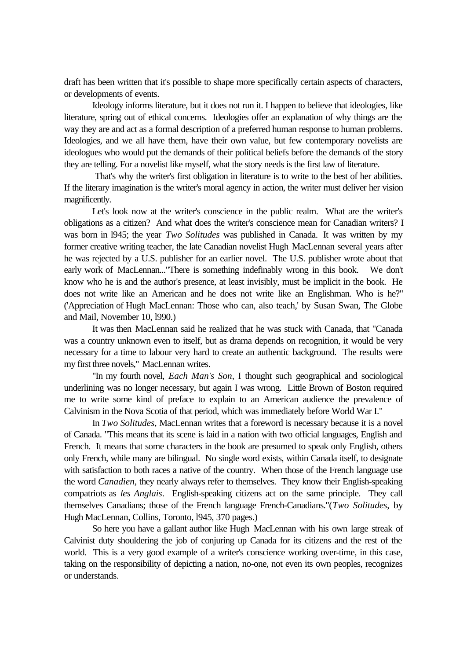draft has been written that it's possible to shape more specifically certain aspects of characters, or developments of events.

Ideology informs literature, but it does not run it. I happen to believe that ideologies, like literature, spring out of ethical concerns. Ideologies offer an explanation of why things are the way they are and act as a formal description of a preferred human response to human problems. Ideologies, and we all have them, have their own value, but few contemporary novelists are ideologues who would put the demands of their political beliefs before the demands of the story they are telling. For a novelist like myself, what the story needs is the first law of literature.

 That's why the writer's first obligation in literature is to write to the best of her abilities. If the literary imagination is the writer's moral agency in action, the writer must deliver her vision magnificently.

Let's look now at the writer's conscience in the public realm. What are the writer's obligations as a citizen? And what does the writer's conscience mean for Canadian writers? I was born in l945; the year *Two Solitudes* was published in Canada. It was written by my former creative writing teacher, the late Canadian novelist Hugh MacLennan several years after he was rejected by a U.S. publisher for an earlier novel. The U.S. publisher wrote about that early work of MacLennan..."There is something indefinably wrong in this book. We don't know who he is and the author's presence, at least invisibly, must be implicit in the book. He does not write like an American and he does not write like an Englishman. Who is he?" ('Appreciation of Hugh MacLennan: Those who can, also teach,' by Susan Swan, The Globe and Mail, November 10, l990.)

It was then MacLennan said he realized that he was stuck with Canada, that "Canada was a country unknown even to itself, but as drama depends on recognition, it would be very necessary for a time to labour very hard to create an authentic background. The results were my first three novels," MacLennan writes.

"In my fourth novel, *Each Man's Son*, I thought such geographical and sociological underlining was no longer necessary, but again I was wrong. Little Brown of Boston required me to write some kind of preface to explain to an American audience the prevalence of Calvinism in the Nova Scotia of that period, which was immediately before World War I."

In *Two Solitudes*, MacLennan writes that a foreword is necessary because it is a novel of Canada. "This means that its scene is laid in a nation with two official languages, English and French. It means that some characters in the book are presumed to speak only English, others only French, while many are bilingual. No single word exists, within Canada itself, to designate with satisfaction to both races a native of the country. When those of the French language use the word *Canadien*, they nearly always refer to themselves. They know their English-speaking compatriots as *les Anglais*. English-speaking citizens act on the same principle. They call themselves Canadians; those of the French language French-Canadians."(*Two Solitudes*, by Hugh MacLennan, Collins, Toronto, l945, 370 pages.)

So here you have a gallant author like Hugh MacLennan with his own large streak of Calvinist duty shouldering the job of conjuring up Canada for its citizens and the rest of the world. This is a very good example of a writer's conscience working over-time, in this case, taking on the responsibility of depicting a nation, no-one, not even its own peoples, recognizes or understands.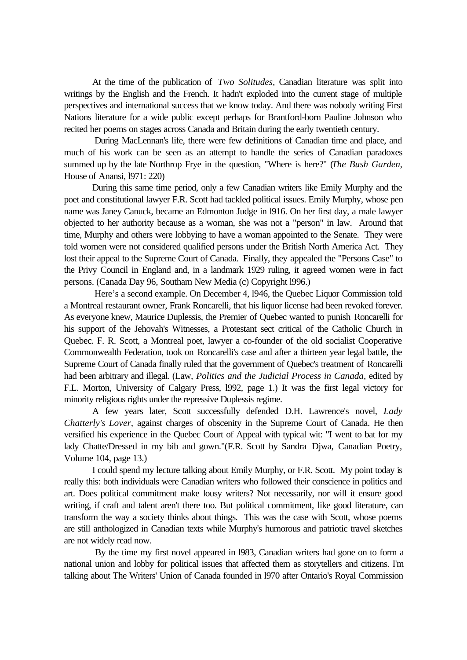At the time of the publication of *Two Solitudes,* Canadian literature was split into writings by the English and the French. It hadn't exploded into the current stage of multiple perspectives and international success that we know today. And there was nobody writing First Nations literature for a wide public except perhaps for Brantford-born Pauline Johnson who recited her poems on stages across Canada and Britain during the early twentieth century.

 During MacLennan's life, there were few definitions of Canadian time and place, and much of his work can be seen as an attempt to handle the series of Canadian paradoxes summed up by the late Northrop Frye in the question, "Where is here?" (*The Bush Garden*, House of Anansi, l971: 220)

During this same time period, only a few Canadian writers like Emily Murphy and the poet and constitutional lawyer F.R. Scott had tackled political issues. Emily Murphy, whose pen name was Janey Canuck, became an Edmonton Judge in l916. On her first day, a male lawyer objected to her authority because as a woman, she was not a "person" in law. Around that time, Murphy and others were lobbying to have a woman appointed to the Senate. They were told women were not considered qualified persons under the British North America Act. They lost their appeal to the Supreme Court of Canada. Finally, they appealed the "Persons Case" to the Privy Council in England and, in a landmark 1929 ruling, it agreed women were in fact persons. (Canada Day 96, Southam New Media (c) Copyright l996.)

 Here's a second example. On December 4, l946, the Quebec Liquor Commission told a Montreal restaurant owner, Frank Roncarelli, that his liquor license had been revoked forever. As everyone knew, Maurice Duplessis, the Premier of Quebec wanted to punish Roncarelli for his support of the Jehovah's Witnesses, a Protestant sect critical of the Catholic Church in Quebec. F. R. Scott, a Montreal poet, lawyer a co-founder of the old socialist Cooperative Commonwealth Federation, took on Roncarelli's case and after a thirteen year legal battle, the Supreme Court of Canada finally ruled that the government of Quebec's treatment of Roncarelli had been arbitrary and illegal. (Law*, Politics and the Judicial Process in Canada*, edited by F.L. Morton, University of Calgary Press, l992, page 1.) It was the first legal victory for minority religious rights under the repressive Duplessis regime.

A few years later, Scott successfully defended D.H. Lawrence's novel, *Lady Chatterly's Lover,* against charges of obscenity in the Supreme Court of Canada. He then versified his experience in the Quebec Court of Appeal with typical wit: "I went to bat for my lady Chatte/Dressed in my bib and gown."(F.R. Scott by Sandra Djwa, Canadian Poetry, Volume 104, page 13.)

I could spend my lecture talking about Emily Murphy, or F.R. Scott. My point today is really this: both individuals were Canadian writers who followed their conscience in politics and art. Does political commitment make lousy writers? Not necessarily, nor will it ensure good writing, if craft and talent aren't there too. But political commitment, like good literature, can transform the way a society thinks about things. This was the case with Scott, whose poems are still anthologized in Canadian texts while Murphy's humorous and patriotic travel sketches are not widely read now.

 By the time my first novel appeared in l983, Canadian writers had gone on to form a national union and lobby for political issues that affected them as storytellers and citizens. I'm talking about The Writers' Union of Canada founded in l970 after Ontario's Royal Commission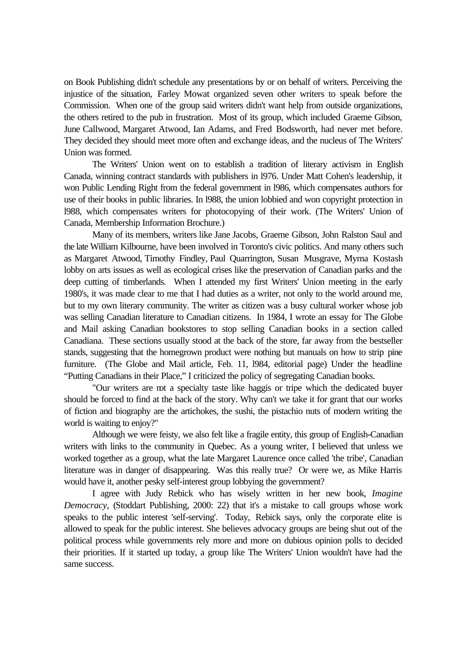on Book Publishing didn't schedule any presentations by or on behalf of writers. Perceiving the injustice of the situation, Farley Mowat organized seven other writers to speak before the Commission. When one of the group said writers didn't want help from outside organizations, the others retired to the pub in frustration. Most of its group, which included Graeme Gibson, June Callwood, Margaret Atwood, Ian Adams, and Fred Bodsworth, had never met before. They decided they should meet more often and exchange ideas, and the nucleus of The Writers' Union was formed.

The Writers' Union went on to establish a tradition of literary activism in English Canada, winning contract standards with publishers in l976. Under Matt Cohen's leadership, it won Public Lending Right from the federal government in l986, which compensates authors for use of their books in public libraries. In l988, the union lobbied and won copyright protection in l988, which compensates writers for photocopying of their work. (The Writers' Union of Canada, Membership Information Brochure.)

Many of its members, writers like Jane Jacobs, Graeme Gibson, John Ralston Saul and the late William Kilbourne, have been involved in Toronto's civic politics. And many others such as Margaret Atwood, Timothy Findley, Paul Quarrington, Susan Musgrave, Myrna Kostash lobby on arts issues as well as ecological crises like the preservation of Canadian parks and the deep cutting of timberlands. When I attended my first Writers' Union meeting in the early 1980's, it was made clear to me that I had duties as a writer, not only to the world around me, but to my own literary community. The writer as citizen was a busy cultural worker whose job was selling Canadian literature to Canadian citizens. In 1984, I wrote an essay for The Globe and Mail asking Canadian bookstores to stop selling Canadian books in a section called Canadiana. These sections usually stood at the back of the store, far away from the bestseller stands, suggesting that the homegrown product were nothing but manuals on how to strip pine furniture. (The Globe and Mail article, Feb. 11, l984, editorial page) Under the headline "Putting Canadians in their Place," I criticized the policy of segregating Canadian books.

"Our writers are not a specialty taste like haggis or tripe which the dedicated buyer should be forced to find at the back of the story. Why can't we take it for grant that our works of fiction and biography are the artichokes, the sushi, the pistachio nuts of modern writing the world is waiting to enjoy?"

Although we were feisty, we also felt like a fragile entity, this group of English-Canadian writers with links to the community in Quebec. As a young writer, I believed that unless we worked together as a group, what the late Margaret Laurence once called 'the tribe', Canadian literature was in danger of disappearing. Was this really true? Or were we, as Mike Harris would have it, another pesky self-interest group lobbying the government?

I agree with Judy Rebick who has wisely written in her new book, *Imagine Democracy*, (Stoddart Publishing, 2000: 22) that it's a mistake to call groups whose work speaks to the public interest 'self-serving'. Today, Rebick says, only the corporate elite is allowed to speak for the public interest. She believes advocacy groups are being shut out of the political process while governments rely more and more on dubious opinion polls to decided their priorities. If it started up today, a group like The Writers' Union wouldn't have had the same success.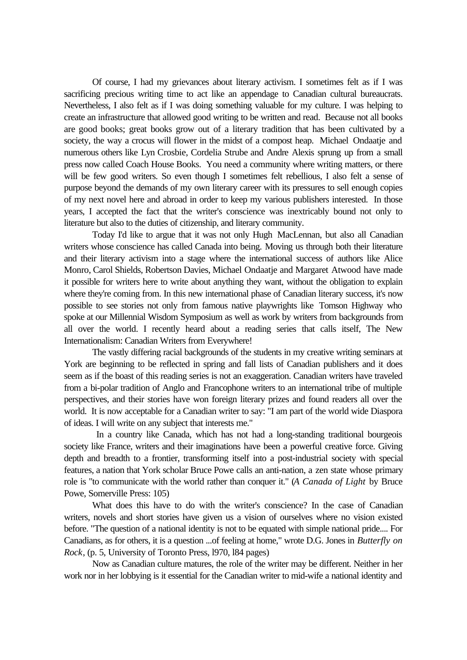Of course, I had my grievances about literary activism. I sometimes felt as if I was sacrificing precious writing time to act like an appendage to Canadian cultural bureaucrats. Nevertheless, I also felt as if I was doing something valuable for my culture. I was helping to create an infrastructure that allowed good writing to be written and read. Because not all books are good books; great books grow out of a literary tradition that has been cultivated by a society, the way a crocus will flower in the midst of a compost heap. Michael Ondaatje and numerous others like Lyn Crosbie, Cordelia Strube and Andre Alexis sprung up from a small press now called Coach House Books. You need a community where writing matters, or there will be few good writers. So even though I sometimes felt rebellious, I also felt a sense of purpose beyond the demands of my own literary career with its pressures to sell enough copies of my next novel here and abroad in order to keep my various publishers interested. In those years, I accepted the fact that the writer's conscience was inextricably bound not only to literature but also to the duties of citizenship, and literary community.

Today I'd like to argue that it was not only Hugh MacLennan, but also all Canadian writers whose conscience has called Canada into being. Moving us through both their literature and their literary activism into a stage where the international success of authors like Alice Monro, Carol Shields, Robertson Davies, Michael Ondaatje and Margaret Atwood have made it possible for writers here to write about anything they want, without the obligation to explain where they're coming from. In this new international phase of Canadian literary success, it's now possible to see stories not only from famous native playwrights like Tomson Highway who spoke at our Millennial Wisdom Symposium as well as work by writers from backgrounds from all over the world. I recently heard about a reading series that calls itself, The New Internationalism: Canadian Writers from Everywhere!

The vastly differing racial backgrounds of the students in my creative writing seminars at York are beginning to be reflected in spring and fall lists of Canadian publishers and it does seem as if the boast of this reading series is not an exaggeration. Canadian writers have traveled from a bi-polar tradition of Anglo and Francophone writers to an international tribe of multiple perspectives, and their stories have won foreign literary prizes and found readers all over the world. It is now acceptable for a Canadian writer to say: "I am part of the world wide Diaspora of ideas. I will write on any subject that interests me."

 In a country like Canada, which has not had a long-standing traditional bourgeois society like France, writers and their imaginations have been a powerful creative force. Giving depth and breadth to a frontier, transforming itself into a post-industrial society with special features, a nation that York scholar Bruce Powe calls an anti-nation, a zen state whose primary role is "to communicate with the world rather than conquer it." (*A Canada of Light* by Bruce Powe, Somerville Press: 105)

What does this have to do with the writer's conscience? In the case of Canadian writers, novels and short stories have given us a vision of ourselves where no vision existed before. "The question of a national identity is not to be equated with simple national pride.... For Canadians, as for others, it is a question ...of feeling at home," wrote D.G. Jones in *Butterfly on Rock*, (p. 5, University of Toronto Press, l970, l84 pages)

Now as Canadian culture matures, the role of the writer may be different. Neither in her work nor in her lobbying is it essential for the Canadian writer to mid-wife a national identity and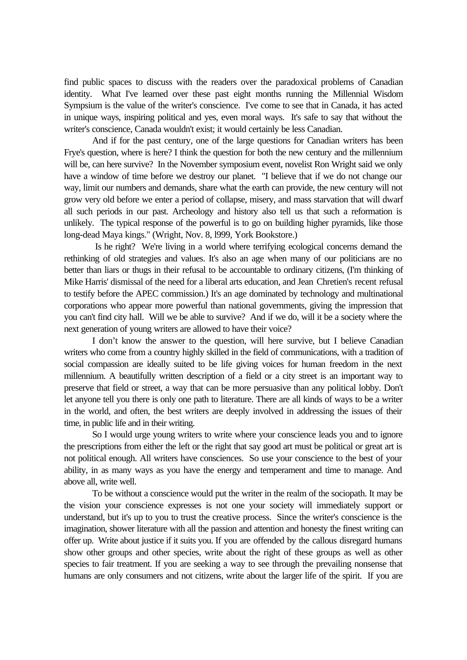find public spaces to discuss with the readers over the paradoxical problems of Canadian identity. What I've learned over these past eight months running the Millennial Wisdom Sympsium is the value of the writer's conscience. I've come to see that in Canada, it has acted in unique ways, inspiring political and yes, even moral ways. It's safe to say that without the writer's conscience, Canada wouldn't exist; it would certainly be less Canadian.

And if for the past century, one of the large questions for Canadian writers has been Frye's question, where is here? I think the question for both the new century and the millennium will be, can here survive? In the November symposium event, novelist Ron Wright said we only have a window of time before we destroy our planet. "I believe that if we do not change our way, limit our numbers and demands, share what the earth can provide, the new century will not grow very old before we enter a period of collapse, misery, and mass starvation that will dwarf all such periods in our past. Archeology and history also tell us that such a reformation is unlikely. The typical response of the powerful is to go on building higher pyramids, like those long-dead Maya kings." (Wright, Nov. 8, l999, York Bookstore.)

 Is he right? We're living in a world where terrifying ecological concerns demand the rethinking of old strategies and values. It's also an age when many of our politicians are no better than liars or thugs in their refusal to be accountable to ordinary citizens, (I'm thinking of Mike Harris' dismissal of the need for a liberal arts education, and Jean Chretien's recent refusal to testify before the APEC commission.) It's an age dominated by technology and multinational corporations who appear more powerful than national governments, giving the impression that you can't find city hall. Will we be able to survive? And if we do, will it be a society where the next generation of young writers are allowed to have their voice?

I don't know the answer to the question, will here survive, but I believe Canadian writers who come from a country highly skilled in the field of communications, with a tradition of social compassion are ideally suited to be life giving voices for human freedom in the next millennium. A beautifully written description of a field or a city street is an important way to preserve that field or street, a way that can be more persuasive than any political lobby. Don't let anyone tell you there is only one path to literature. There are all kinds of ways to be a writer in the world, and often, the best writers are deeply involved in addressing the issues of their time, in public life and in their writing.

So I would urge young writers to write where your conscience leads you and to ignore the prescriptions from either the left or the right that say good art must be political or great art is not political enough. All writers have consciences. So use your conscience to the best of your ability, in as many ways as you have the energy and temperament and time to manage. And above all, write well.

To be without a conscience would put the writer in the realm of the sociopath. It may be the vision your conscience expresses is not one your society will immediately support or understand, but it's up to you to trust the creative process. Since the writer's conscience is the imagination, shower literature with all the passion and attention and honesty the finest writing can offer up. Write about justice if it suits you. If you are offended by the callous disregard humans show other groups and other species, write about the right of these groups as well as other species to fair treatment. If you are seeking a way to see through the prevailing nonsense that humans are only consumers and not citizens, write about the larger life of the spirit. If you are